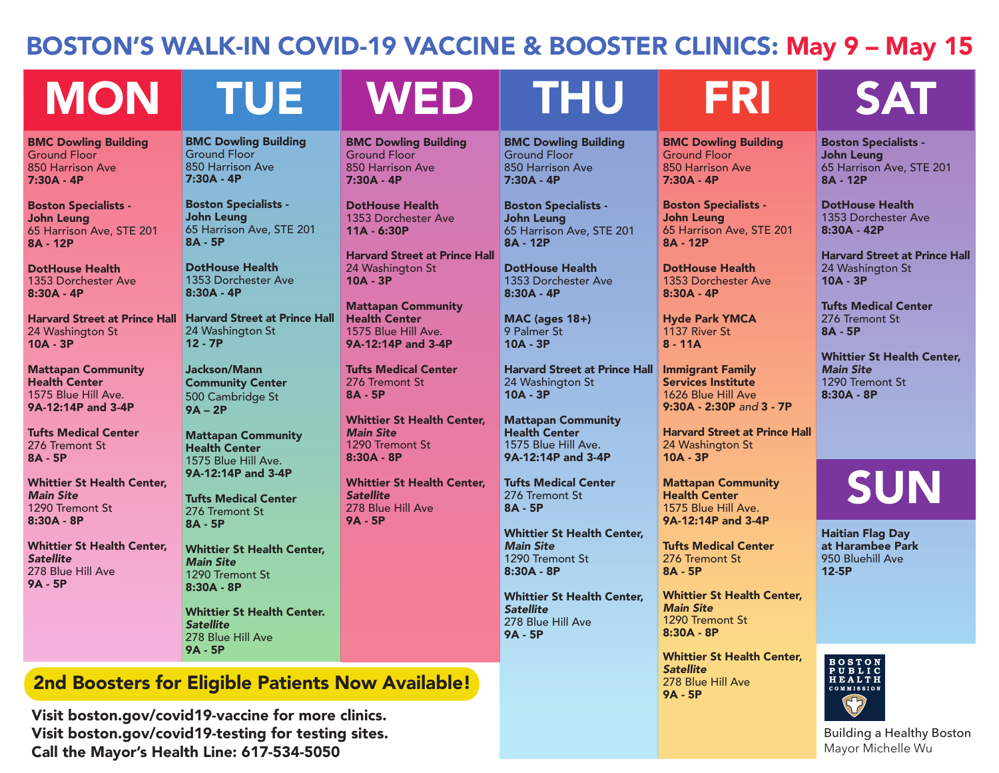### BOSTON'S WALK-IN COVID-19 VACCINE & BOOSTER CLINICS: May 9 – May 15

# MON TUE WED THU FRI SAT

BMC Dowling Building Ground Floor 850 Harrison Ave 7:30A - 4P

Boston Specialists - John Leung 65 Harrison Ave, STE 201 8A - 12P

DotHouse Health 1353 Dorchester Ave 8:30A - 4P

24 Washington St 10A - 3P

Mattapan Community Health Center 1575 Blue Hill Ave. 9A-12:14P and 3-4P

Tufts Medical Center 276 Tremont St 8A - 5P

Whittier St Health Center, *Main Site* 1290 Tremont St 8:30A - 8P

Whittier St Health Center, *Satellite*  278 Blue Hill Ave 9A - 5P

BMC Dowling Building Ground Floor 850 Harrison Ave 7:30A - 4P

Boston Specialists - John Leung 65 Harrison Ave, STE 201 8A - 5P

DotHouse Health 1353 Dorchester Ave 8:30A - 4P

Harvard Street at Prince Hall Harvard Street at Prince Hall 24 Washington St 12 - 7P

> Jackson/Mann Community Center 500 Cambridge St 9A – 2P

Mattapan Community Health Center 1575 Blue Hill Ave. 9A-12:14P and 3-4P

*Satellite* 278 Blue Hill Ave 9A - 5P

BMC Dowling Building Ground Floor 850 Harrison Ave 7:30A - 4P

DotHouse Health 1353 Dorchester Ave 11A - 6:30P

Harvard Street at Prince Hall 24 Washington St 10A - 3P

Mattapan Community Health Center 1575 Blue Hill Ave. 9A-12:14P and 3-4P

Tufts Medical Center 276 Tremont St 8A - 5P

Whittier St Health Center, *Main Site* 1290 Tremont St 8:30A - 8P

Whittier St Health Center, *Satellite*  278 Blue Hill Ave 9A - 5P

BMC Dowling Building Ground Floor 850 Harrison Ave 7:30A - 4P

Boston Specialists - John Leung 65 Harrison Ave, STE 201 8A - 12P

DotHouse Health 1353 Dorchester Ave 8:30A - 4P

MAC (ages 18+) 9 Palmer St 10A - 3P

Harvard Street at Prince Hall 24 Washington St 10A - 3P

Mattapan Community Health Center 1575 Blue Hill Ave. 9A-12:14P and 3-4P

Tufts Medical Center 276 Tremont St 8A - 5P

Whittier St Health Center, *Main Site* 1290 Tremont St 8:30A - 8P

Whittier St Health Center, *Satellite*  278 Blue Hill Ave 9A - 5P

> Whittier St Health Center, *Satellite*  278 Blue Hill Ave 9A - 5P

> Whittier St Health Center,

BMC Dowling Building

Boston Specialists - John Leung

DotHouse Health 1353 Dorchester Ave

Hyde Park YMCA 1137 River St 8 - 11A

Immigrant Family Services Institute 1626 Blue Hill Ave 9:30A - 2:30P *and* 3 - 7P

24 Washington St

Mattapan Community Health Center 1575 Blue Hill Ave. 9A-12:14P and 3-4P

Tufts Medical Center 276 Tremont St

10A - 3P

8A - 5P

*Main Site* 1290 Tremont St 8:30A - 8P

Harvard Street at Prince Hall

65 Harrison Ave, STE 201

Ground Floor 850 Harrison Ave 7:30A - 4P

8A - 12P

8:30A - 4P

Boston Specialists - John Leung 65 Harrison Ave, STE 201 8A - 12P

DotHouse Health 1353 Dorchester Ave 8:30A - 42P

Harvard Street at Prince Hall 24 Washington St 10A - 3P

Tufts Medical Center 276 Tremont St 8A - 5P

Whittier St Health Center, *Main Site* 1290 Tremont St 8:30A - 8P

**SUN** 

Haitian Flag Day at Harambee Park 950 Bluehill Ave 12-5P



Building a Healthy Boston Mayor Michelle Wu

Tufts Medical Center 276 Tremont St 8A - 5P Whittier St Health Center, *Main Site* 1290 Tremont St 8:30A - 8P Whittier St Health Center.

2nd Boosters for Eligible Patients Now Available!

Visit boston.gov/covid19-vaccine for more clinics. Visit boston.gov/covid19-testing for testing sites. Call the Mayor's Health Line: 617-534-5050